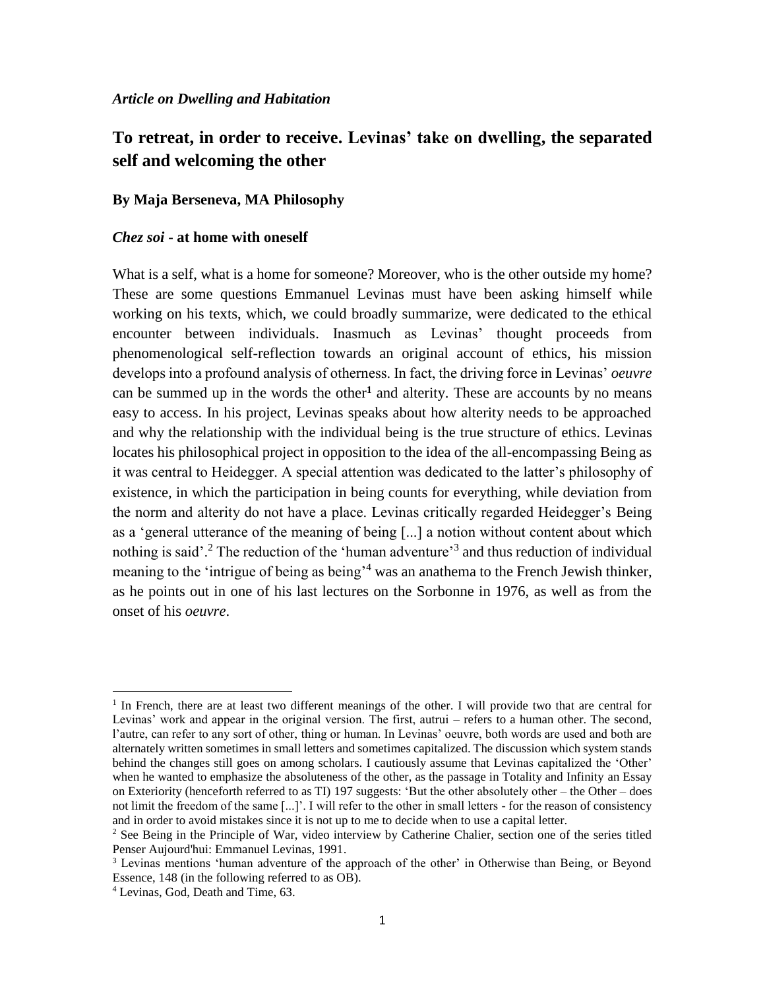#### *Article on Dwelling and Habitation*

# **To retreat, in order to receive. Levinas' take on dwelling, the separated self and welcoming the other**

#### **By Maja Berseneva, MA Philosophy**

### *Chez soi* **- at home with oneself**

What is a self, what is a home for someone? Moreover, who is the other outside my home? These are some questions Emmanuel Levinas must have been asking himself while working on his texts, which, we could broadly summarize, were dedicated to the ethical encounter between individuals. Inasmuch as Levinas' thought proceeds from phenomenological self-reflection towards an original account of ethics, his mission develops into a profound analysis of otherness. In fact, the driving force in Levinas' *oeuvre* can be summed up in the words the other**<sup>1</sup>** and alterity. These are accounts by no means easy to access. In his project, Levinas speaks about how alterity needs to be approached and why the relationship with the individual being is the true structure of ethics. Levinas locates his philosophical project in opposition to the idea of the all-encompassing Being as it was central to Heidegger. A special attention was dedicated to the latter's philosophy of existence, in which the participation in being counts for everything, while deviation from the norm and alterity do not have a place. Levinas critically regarded Heidegger's Being as a 'general utterance of the meaning of being [...] a notion without content about which nothing is said'.<sup>2</sup> The reduction of the 'human adventure'<sup>3</sup> and thus reduction of individual meaning to the 'intrigue of being as being<sup>-4</sup> was an anathema to the French Jewish thinker, as he points out in one of his last lectures on the Sorbonne in 1976, as well as from the onset of his *oeuvre*.

<sup>&</sup>lt;sup>1</sup> In French, there are at least two different meanings of the other. I will provide two that are central for Levinas' work and appear in the original version. The first, autrui – refers to a human other. The second, l'autre, can refer to any sort of other, thing or human. In Levinas' oeuvre, both words are used and both are alternately written sometimes in small letters and sometimes capitalized. The discussion which system stands behind the changes still goes on among scholars. I cautiously assume that Levinas capitalized the 'Other' when he wanted to emphasize the absoluteness of the other, as the passage in Totality and Infinity an Essay on Exteriority (henceforth referred to as TI) 197 suggests: 'But the other absolutely other – the Other – does not limit the freedom of the same [...]'. I will refer to the other in small letters - for the reason of consistency and in order to avoid mistakes since it is not up to me to decide when to use a capital letter.

<sup>&</sup>lt;sup>2</sup> See Being in the Principle of War, video interview by Catherine Chalier, section one of the series titled Penser Aujourd'hui: Emmanuel Levinas, 1991.

<sup>&</sup>lt;sup>3</sup> Levinas mentions 'human adventure of the approach of the other' in Otherwise than Being, or Beyond Essence, 148 (in the following referred to as OB).

<sup>4</sup> Levinas, God, Death and Time, 63.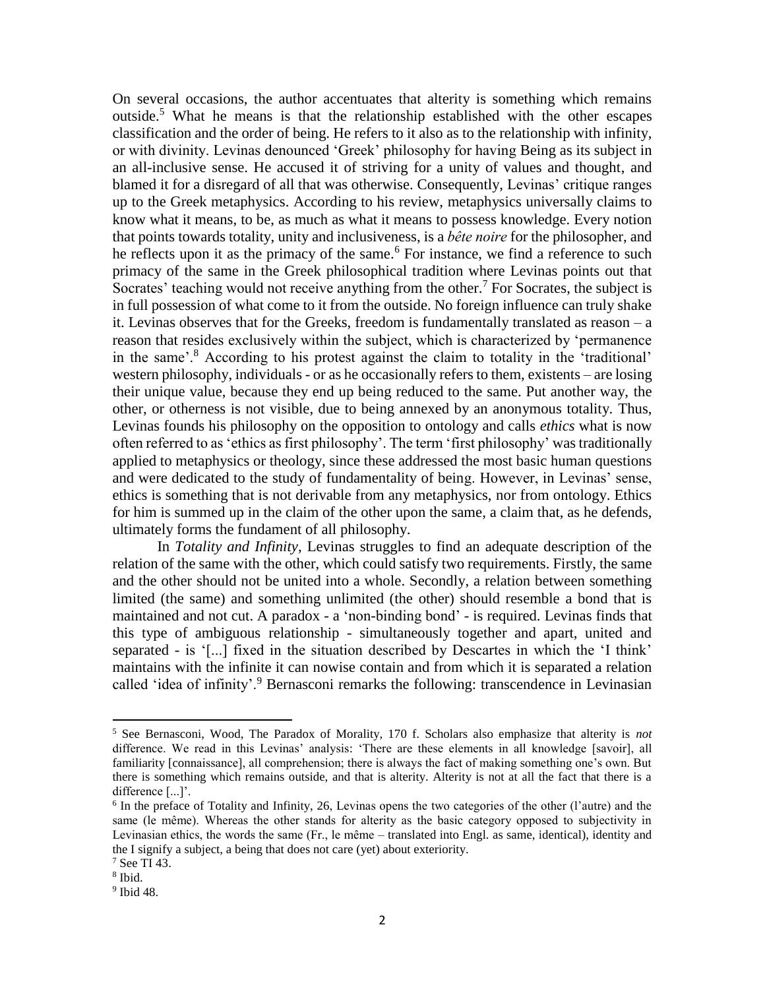On several occasions, the author accentuates that alterity is something which remains outside.<sup>5</sup> What he means is that the relationship established with the other escapes classification and the order of being. He refers to it also as to the relationship with infinity, or with divinity. Levinas denounced 'Greek' philosophy for having Being as its subject in an all-inclusive sense. He accused it of striving for a unity of values and thought, and blamed it for a disregard of all that was otherwise. Consequently, Levinas' critique ranges up to the Greek metaphysics. According to his review, metaphysics universally claims to know what it means, to be, as much as what it means to possess knowledge. Every notion that points towards totality, unity and inclusiveness, is a *bête noire* for the philosopher, and he reflects upon it as the primacy of the same.<sup>6</sup> For instance, we find a reference to such primacy of the same in the Greek philosophical tradition where Levinas points out that Socrates' teaching would not receive anything from the other.<sup>7</sup> For Socrates, the subject is in full possession of what come to it from the outside. No foreign influence can truly shake it. Levinas observes that for the Greeks, freedom is fundamentally translated as reason – a reason that resides exclusively within the subject, which is characterized by 'permanence in the same'.<sup>8</sup> According to his protest against the claim to totality in the 'traditional' western philosophy, individuals - or as he occasionally refers to them, existents – are losing their unique value, because they end up being reduced to the same. Put another way, the other, or otherness is not visible, due to being annexed by an anonymous totality. Thus, Levinas founds his philosophy on the opposition to ontology and calls *ethics* what is now often referred to as 'ethics as first philosophy'. The term 'first philosophy' was traditionally applied to metaphysics or theology, since these addressed the most basic human questions and were dedicated to the study of fundamentality of being. However, in Levinas' sense, ethics is something that is not derivable from any metaphysics, nor from ontology. Ethics for him is summed up in the claim of the other upon the same, a claim that, as he defends, ultimately forms the fundament of all philosophy.

In *Totality and Infinity*, Levinas struggles to find an adequate description of the relation of the same with the other, which could satisfy two requirements. Firstly, the same and the other should not be united into a whole. Secondly, a relation between something limited (the same) and something unlimited (the other) should resemble a bond that is maintained and not cut. A paradox - a 'non-binding bond' - is required. Levinas finds that this type of ambiguous relationship - simultaneously together and apart, united and separated - is '[...] fixed in the situation described by Descartes in which the 'I think' maintains with the infinite it can nowise contain and from which it is separated a relation called 'idea of infinity'.<sup>9</sup> Bernasconi remarks the following: transcendence in Levinasian

<sup>5</sup> See Bernasconi, Wood, The Paradox of Morality, 170 f. Scholars also emphasize that alterity is *not*  difference. We read in this Levinas' analysis: 'There are these elements in all knowledge [savoir], all familiarity [connaissance], all comprehension; there is always the fact of making something one's own. But there is something which remains outside, and that is alterity. Alterity is not at all the fact that there is a difference [...]'.

<sup>&</sup>lt;sup>6</sup> In the preface of Totality and Infinity, 26, Levinas opens the two categories of the other (l'autre) and the same (le même). Whereas the other stands for alterity as the basic category opposed to subjectivity in Levinasian ethics, the words the same (Fr., le même – translated into Engl. as same, identical), identity and the I signify a subject, a being that does not care (yet) about exteriority.

<sup>7</sup> See TI 43.

<sup>8</sup> Ibid.

<sup>9</sup> Ibid 48.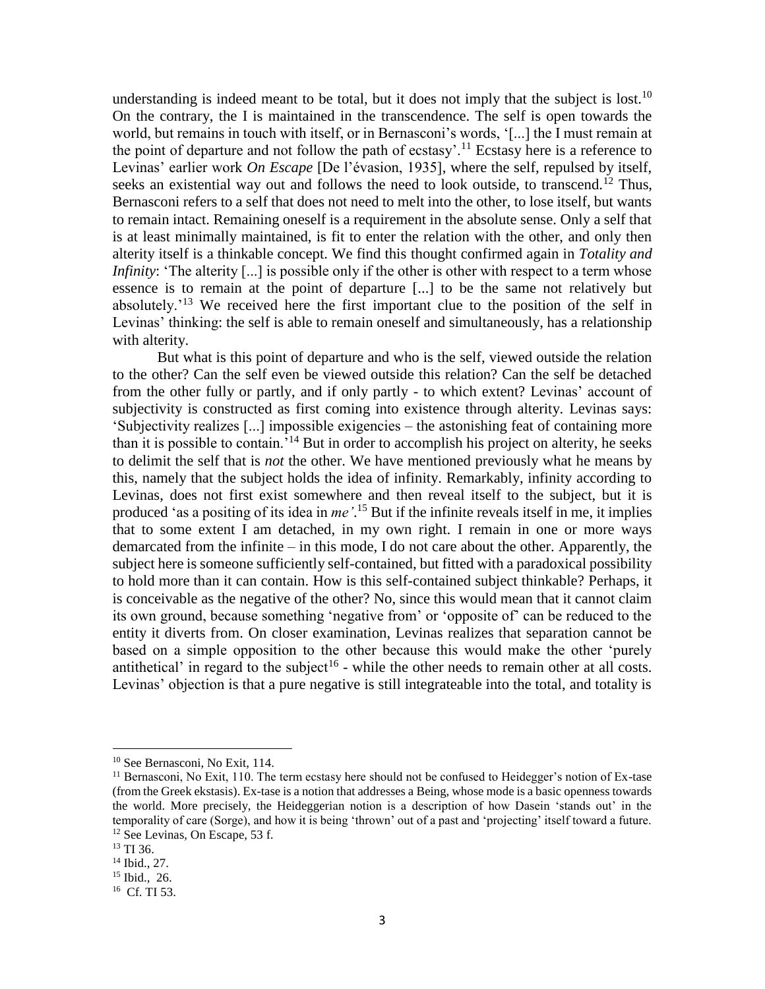understanding is indeed meant to be total, but it does not imply that the subject is lost.<sup>10</sup> On the contrary, the I is maintained in the transcendence. The self is open towards the world, but remains in touch with itself, or in Bernasconi's words, '[...] the I must remain at the point of departure and not follow the path of ecstasy'.<sup>11</sup> Ecstasy here is a reference to Levinas' earlier work *On Escape* [De l'évasion, 1935], where the self, repulsed by itself, seeks an existential way out and follows the need to look outside, to transcend.<sup>12</sup> Thus, Bernasconi refers to a self that does not need to melt into the other, to lose itself, but wants to remain intact. Remaining oneself is a requirement in the absolute sense. Only a self that is at least minimally maintained, is fit to enter the relation with the other, and only then alterity itself is a thinkable concept. We find this thought confirmed again in *Totality and Infinity*: 'The alterity [...] is possible only if the other is other with respect to a term whose essence is to remain at the point of departure [...] to be the same not relatively but absolutely.'<sup>13</sup> We received here the first important clue to the position of the *s*elf in Levinas' thinking: the self is able to remain oneself and simultaneously, has a relationship with alterity.

But what is this point of departure and who is the self, viewed outside the relation to the other? Can the self even be viewed outside this relation? Can the self be detached from the other fully or partly, and if only partly - to which extent? Levinas' account of subjectivity is constructed as first coming into existence through alterity. Levinas says: 'Subjectivity realizes [...] impossible exigencies – the astonishing feat of containing more than it is possible to contain.'<sup>14</sup> But in order to accomplish his project on alterity, he seeks to delimit the self that is *not* the other. We have mentioned previously what he means by this, namely that the subject holds the idea of infinity. Remarkably, infinity according to Levinas, does not first exist somewhere and then reveal itself to the subject, but it is produced 'as a positing of its idea in *me'*. <sup>15</sup> But if the infinite reveals itself in me, it implies that to some extent I am detached, in my own right. I remain in one or more ways demarcated from the infinite – in this mode, I do not care about the other. Apparently, the subject here is someone sufficiently self-contained, but fitted with a paradoxical possibility to hold more than it can contain. How is this self-contained subject thinkable? Perhaps, it is conceivable as the negative of the other? No, since this would mean that it cannot claim its own ground, because something 'negative from' or 'opposite of' can be reduced to the entity it diverts from. On closer examination, Levinas realizes that separation cannot be based on a simple opposition to the other because this would make the other 'purely antithetical' in regard to the subject<sup>16</sup> - while the other needs to remain other at all costs. Levinas' objection is that a pure negative is still integrateable into the total, and totality is

<sup>&</sup>lt;sup>10</sup> See Bernasconi, No Exit, 114.

<sup>&</sup>lt;sup>11</sup> Bernasconi, No Exit, 110. The term ecstasy here should not be confused to Heidegger's notion of Ex-tase (from the Greek ekstasis). Ex-tase is a notion that addresses a Being, whose mode is a basic openness towards the world. More precisely, the Heideggerian notion is a description of how Dasein 'stands out' in the temporality of care (Sorge), and how it is being 'thrown' out of a past and 'projecting' itself toward a future. <sup>12</sup> See Levinas, On Escape, 53 f.

<sup>&</sup>lt;sup>13</sup> TI 36.

<sup>14</sup> Ibid., 27.

<sup>15</sup> Ibid., 26.

<sup>16</sup> Cf. TI 53.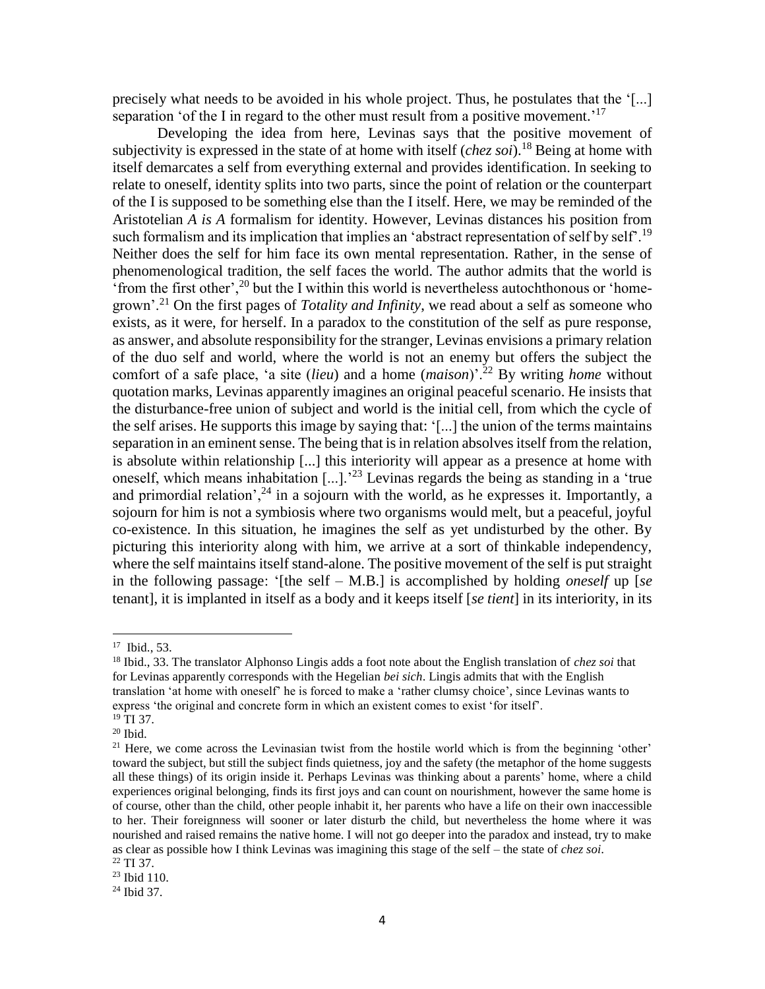precisely what needs to be avoided in his whole project. Thus, he postulates that the '[...] separation 'of the I in regard to the other must result from a positive movement.'<sup>17</sup>

Developing the idea from here, Levinas says that the positive movement of subjectivity is expressed in the state of at home with itself (*chez soi*).<sup>18</sup> Being at home with itself demarcates a self from everything external and provides identification. In seeking to relate to oneself, identity splits into two parts, since the point of relation or the counterpart of the I is supposed to be something else than the I itself. Here, we may be reminded of the Aristotelian *A is A* formalism for identity. However, Levinas distances his position from such formalism and its implication that implies an 'abstract representation of self by self'.<sup>19</sup> Neither does the self for him face its own mental representation. Rather, in the sense of phenomenological tradition, the self faces the world. The author admits that the world is 'from the first other',  $^{20}$  but the I within this world is nevertheless autochthonous or 'homegrown'.<sup>21</sup> On the first pages of *Totality and Infinity*, we read about a self as someone who exists, as it were, for herself. In a paradox to the constitution of the self as pure response, as answer, and absolute responsibility for the stranger, Levinas envisions a primary relation of the duo self and world, where the world is not an enemy but offers the subject the comfort of a safe place, 'a site (*lieu*) and a home (*maison*)'.<sup>22</sup> By writing *home* without quotation marks, Levinas apparently imagines an original peaceful scenario. He insists that the disturbance-free union of subject and world is the initial cell, from which the cycle of the self arises. He supports this image by saying that: '[...] the union of the terms maintains separation in an eminent sense. The being that is in relation absolves itself from the relation, is absolute within relationship [...] this interiority will appear as a presence at home with oneself, which means inhabitation [...].'<sup>23</sup> Levinas regards the being as standing in a 'true and primordial relation',  $^{24}$  in a sojourn with the world, as he expresses it. Importantly, a sojourn for him is not a symbiosis where two organisms would melt, but a peaceful, joyful co-existence. In this situation, he imagines the self as yet undisturbed by the other. By picturing this interiority along with him, we arrive at a sort of thinkable independency, where the self maintains itself stand-alone. The positive movement of the self is put straight in the following passage: '[the self – M.B.] is accomplished by holding *oneself* up [*se* tenant], it is implanted in itself as a body and it keeps itself [*se tient*] in its interiority, in its

<sup>17</sup> Ibid., 53.

<sup>18</sup> Ibid., 33. The translator Alphonso Lingis adds a foot note about the English translation of *chez soi* that for Levinas apparently corresponds with the Hegelian *bei sich*. Lingis admits that with the English translation 'at home with oneself' he is forced to make a 'rather clumsy choice', since Levinas wants to express 'the original and concrete form in which an existent comes to exist 'for itself'.

<sup>&</sup>lt;sup>19</sup> TI 37.

 $20$  Ibid.

 $21$  Here, we come across the Levinasian twist from the hostile world which is from the beginning 'other' toward the subject, but still the subject finds quietness, joy and the safety (the metaphor of the home suggests all these things) of its origin inside it. Perhaps Levinas was thinking about a parents' home, where a child experiences original belonging, finds its first joys and can count on nourishment, however the same home is of course, other than the child, other people inhabit it, her parents who have a life on their own inaccessible to her. Their foreignness will sooner or later disturb the child, but nevertheless the home where it was nourished and raised remains the native home. I will not go deeper into the paradox and instead, try to make as clear as possible how I think Levinas was imagining this stage of the self – the state of *chez soi*. <sup>22</sup> TI 37.

<sup>23</sup> Ibid 110. <sup>24</sup> Ibid 37.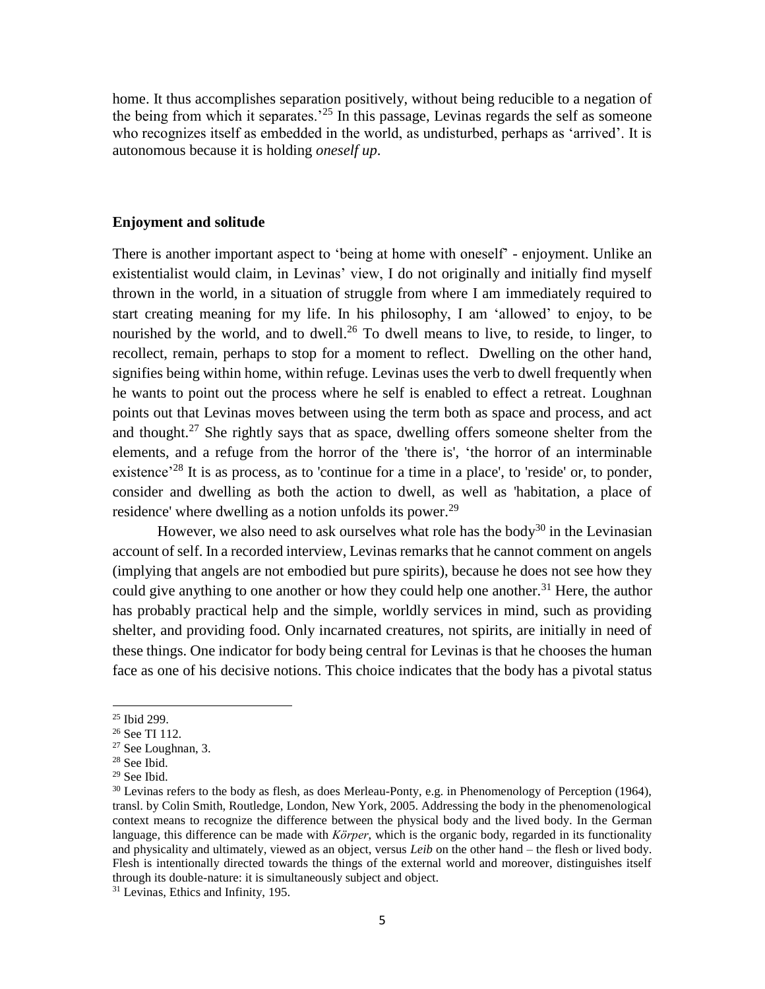home. It thus accomplishes separation positively, without being reducible to a negation of the being from which it separates.<sup> $25$ </sup> In this passage, Levinas regards the self as someone who recognizes itself as embedded in the world, as undisturbed, perhaps as 'arrived'. It is autonomous because it is holding *oneself up*.

### **Enjoyment and solitude**

There is another important aspect to 'being at home with oneself' - enjoyment. Unlike an existentialist would claim, in Levinas' view, I do not originally and initially find myself thrown in the world, in a situation of struggle from where I am immediately required to start creating meaning for my life. In his philosophy, I am 'allowed' to enjoy, to be nourished by the world, and to dwell.<sup>26</sup> To dwell means to live, to reside, to linger, to recollect, remain, perhaps to stop for a moment to reflect. Dwelling on the other hand, signifies being within home, within refuge. Levinas uses the verb to dwell frequently when he wants to point out the process where he self is enabled to effect a retreat. Loughnan points out that Levinas moves between using the term both as space and process, and act and thought.<sup>27</sup> She rightly says that as space, dwelling offers someone shelter from the elements, and a refuge from the horror of the 'there is', 'the horror of an interminable existence<sup> $28$ </sup> It is as process, as to 'continue for a time in a place', to 'reside' or, to ponder, consider and dwelling as both the action to dwell, as well as 'habitation, a place of residence' where dwelling as a notion unfolds its power.<sup>29</sup>

However, we also need to ask ourselves what role has the body<sup>30</sup> in the Levinasian account of self. In a recorded interview, Levinas remarks that he cannot comment on angels (implying that angels are not embodied but pure spirits), because he does not see how they could give anything to one another or how they could help one another.<sup>31</sup> Here, the author has probably practical help and the simple, worldly services in mind, such as providing shelter, and providing food. Only incarnated creatures, not spirits, are initially in need of these things. One indicator for body being central for Levinas is that he chooses the human face as one of his decisive notions. This choice indicates that the body has a pivotal status

 $\overline{\phantom{a}}$ 

<sup>31</sup> Levinas, Ethics and Infinity, 195.

<sup>25</sup> Ibid 299.

<sup>&</sup>lt;sup>26</sup> See TI 112.

<sup>27</sup> See Loughnan, 3.

<sup>28</sup> See Ibid.

<sup>29</sup> See Ibid.

 $30$  Levinas refers to the body as flesh, as does Merleau-Ponty, e.g. in Phenomenology of Perception (1964), transl. by Colin Smith, Routledge, London, New York, 2005. Addressing the body in the phenomenological context means to recognize the difference between the physical body and the lived body. In the German language, this difference can be made with *Körper*, which is the organic body, regarded in its functionality and physicality and ultimately, viewed as an object, versus *Leib* on the other hand – the flesh or lived body. Flesh is intentionally directed towards the things of the external world and moreover, distinguishes itself through its double-nature: it is simultaneously subject and object.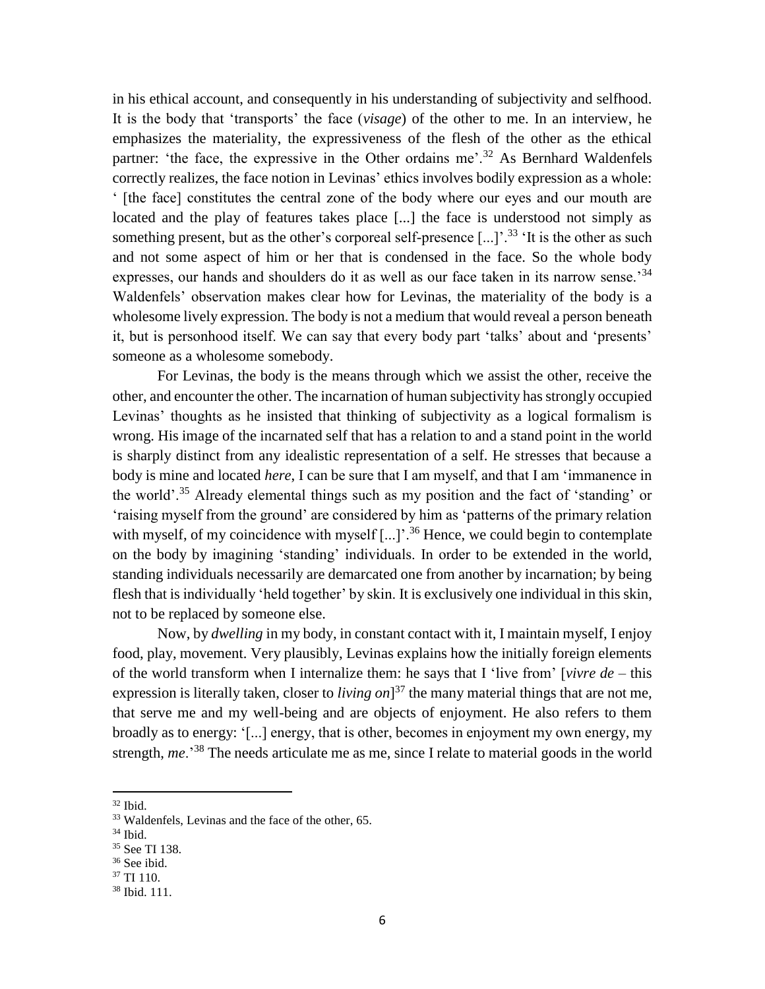in his ethical account, and consequently in his understanding of subjectivity and selfhood. It is the body that 'transports' the face (*visage*) of the other to me. In an interview, he emphasizes the materiality, the expressiveness of the flesh of the other as the ethical partner: 'the face, the expressive in the Other ordains me'.<sup>32</sup> As Bernhard Waldenfels correctly realizes, the face notion in Levinas' ethics involves bodily expression as a whole: ' [the face] constitutes the central zone of the body where our eyes and our mouth are located and the play of features takes place [...] the face is understood not simply as something present, but as the other's corporeal self-presence  $[\dots]$ <sup>33</sup> It is the other as such and not some aspect of him or her that is condensed in the face. So the whole body expresses, our hands and shoulders do it as well as our face taken in its narrow sense.<sup>34</sup> Waldenfels' observation makes clear how for Levinas, the materiality of the body is a wholesome lively expression. The body is not a medium that would reveal a person beneath it, but is personhood itself. We can say that every body part 'talks' about and 'presents' someone as a wholesome somebody.

For Levinas, the body is the means through which we assist the other, receive the other, and encounter the other. The incarnation of human subjectivity has strongly occupied Levinas' thoughts as he insisted that thinking of subjectivity as a logical formalism is wrong. His image of the incarnated self that has a relation to and a stand point in the world is sharply distinct from any idealistic representation of a self. He stresses that because a body is mine and located *here*, I can be sure that I am myself, and that I am 'immanence in the world'.<sup>35</sup> Already elemental things such as my position and the fact of 'standing' or 'raising myself from the ground' are considered by him as 'patterns of the primary relation with myself, of my coincidence with myself [...]'.<sup>36</sup> Hence, we could begin to contemplate on the body by imagining 'standing' individuals. In order to be extended in the world, standing individuals necessarily are demarcated one from another by incarnation; by being flesh that is individually 'held together' by skin. It is exclusively one individual in this skin, not to be replaced by someone else.

Now, by *dwelling* in my body, in constant contact with it, I maintain myself, I enjoy food, play, movement. Very plausibly, Levinas explains how the initially foreign elements of the world transform when I internalize them: he says that I 'live from' [*vivre de* – this expression is literally taken, closer to *living on*] <sup>37</sup> the many material things that are not me, that serve me and my well-being and are objects of enjoyment. He also refers to them broadly as to energy: '[...] energy, that is other, becomes in enjoyment my own energy, my strength, *me*.'<sup>38</sup> The needs articulate me as me, since I relate to material goods in the world

<sup>32</sup> Ibid.

<sup>33</sup> Waldenfels, Levinas and the face of the other, 65.

<sup>34</sup> Ibid.

<sup>35</sup> See TI 138.

<sup>36</sup> See ibid.

<sup>37</sup> TI 110.

<sup>38</sup> Ibid. 111.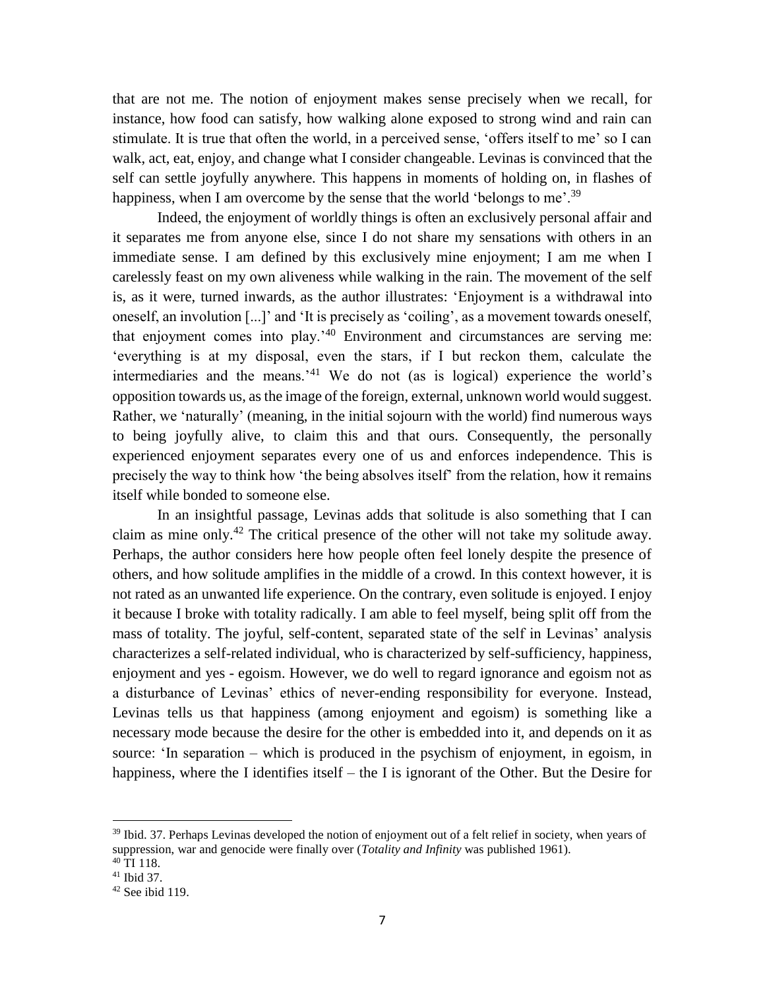that are not me. The notion of enjoyment makes sense precisely when we recall, for instance, how food can satisfy, how walking alone exposed to strong wind and rain can stimulate. It is true that often the world, in a perceived sense, 'offers itself to me' so I can walk, act, eat, enjoy, and change what I consider changeable. Levinas is convinced that the self can settle joyfully anywhere. This happens in moments of holding on, in flashes of happiness, when I am overcome by the sense that the world 'belongs to me'.<sup>39</sup>

Indeed, the enjoyment of worldly things is often an exclusively personal affair and it separates me from anyone else, since I do not share my sensations with others in an immediate sense. I am defined by this exclusively mine enjoyment; I am me when I carelessly feast on my own aliveness while walking in the rain. The movement of the self is, as it were, turned inwards, as the author illustrates: 'Enjoyment is a withdrawal into oneself, an involution [...]' and 'It is precisely as 'coiling', as a movement towards oneself, that enjoyment comes into play.'<sup>40</sup> Environment and circumstances are serving me: 'everything is at my disposal, even the stars, if I but reckon them, calculate the intermediaries and the means.'<sup>41</sup> We do not (as is logical) experience the world's opposition towards us, as the image of the foreign, external, unknown world would suggest. Rather, we 'naturally' (meaning, in the initial sojourn with the world) find numerous ways to being joyfully alive, to claim this and that ours. Consequently, the personally experienced enjoyment separates every one of us and enforces independence. This is precisely the way to think how 'the being absolves itself' from the relation, how it remains itself while bonded to someone else.

In an insightful passage, Levinas adds that solitude is also something that I can claim as mine only.<sup>42</sup> The critical presence of the other will not take my solitude away. Perhaps, the author considers here how people often feel lonely despite the presence of others, and how solitude amplifies in the middle of a crowd. In this context however, it is not rated as an unwanted life experience. On the contrary, even solitude is enjoyed. I enjoy it because I broke with totality radically. I am able to feel myself, being split off from the mass of totality. The joyful, self-content, separated state of the self in Levinas' analysis characterizes a self-related individual, who is characterized by self-sufficiency, happiness, enjoyment and yes - egoism. However, we do well to regard ignorance and egoism not as a disturbance of Levinas' ethics of never-ending responsibility for everyone. Instead, Levinas tells us that happiness (among enjoyment and egoism) is something like a necessary mode because the desire for the other is embedded into it, and depends on it as source: 'In separation – which is produced in the psychism of enjoyment, in egoism, in happiness, where the I identifies itself – the I is ignorant of the Other. But the Desire for

l

<sup>&</sup>lt;sup>39</sup> Ibid. 37. Perhaps Levinas developed the notion of enjoyment out of a felt relief in society, when years of suppression, war and genocide were finally over (*Totality and Infinity* was published 1961).

 $40$  TI 118.

<sup>41</sup> Ibid 37.

 $42$  See ibid 119.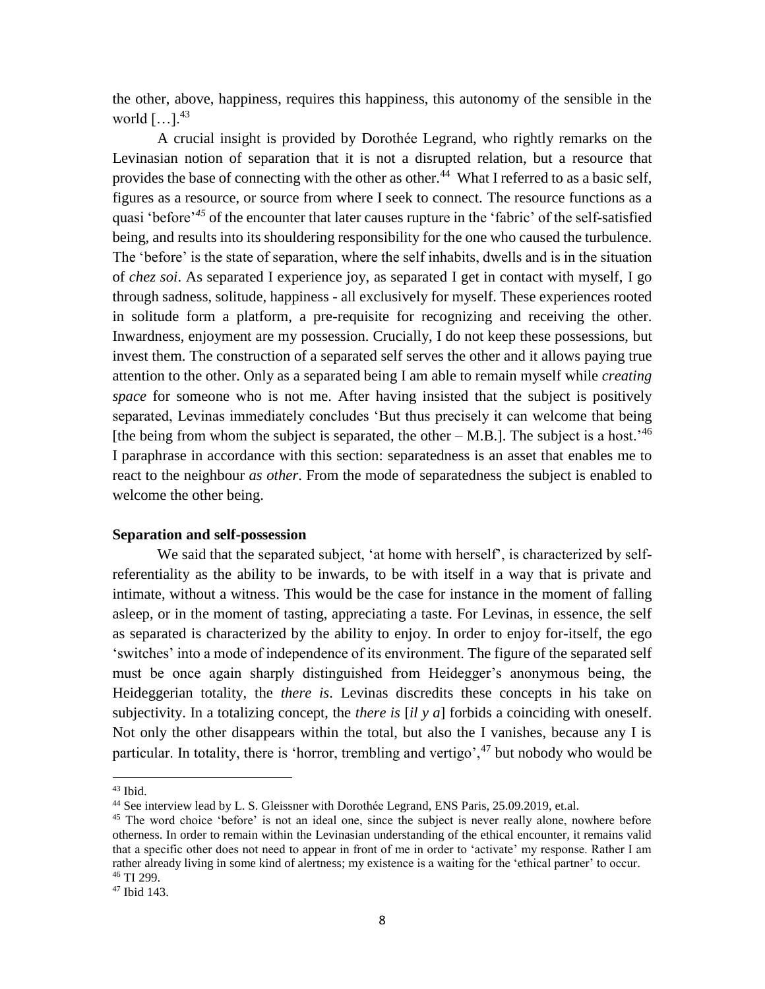the other, above, happiness, requires this happiness, this autonomy of the sensible in the world  $[\dots]$ .<sup>43</sup>

A crucial insight is provided by Dorothée Legrand, who rightly remarks on the Levinasian notion of separation that it is not a disrupted relation, but a resource that provides the base of connecting with the other as other.<sup>44</sup> What I referred to as a basic self, figures as a resource, or source from where I seek to connect. The resource functions as a quasi 'before'*<sup>45</sup>* of the encounter that later causes rupture in the 'fabric' of the self-satisfied being, and results into its shouldering responsibility for the one who caused the turbulence. The 'before' is the state of separation, where the self inhabits, dwells and is in the situation of *chez soi*. As separated I experience joy, as separated I get in contact with myself, I go through sadness, solitude, happiness - all exclusively for myself. These experiences rooted in solitude form a platform, a pre-requisite for recognizing and receiving the other. Inwardness, enjoyment are my possession. Crucially, I do not keep these possessions, but invest them. The construction of a separated self serves the other and it allows paying true attention to the other. Only as a separated being I am able to remain myself while *creating space* for someone who is not me. After having insisted that the subject is positively separated, Levinas immediately concludes 'But thus precisely it can welcome that being [the being from whom the subject is separated, the other – M.B.]. The subject is a host.<sup>46</sup> I paraphrase in accordance with this section: separatedness is an asset that enables me to react to the neighbour *as other*. From the mode of separatedness the subject is enabled to welcome the other being.

#### **Separation and self-possession**

We said that the separated subject, 'at home with herself', is characterized by selfreferentiality as the ability to be inwards, to be with itself in a way that is private and intimate, without a witness. This would be the case for instance in the moment of falling asleep, or in the moment of tasting, appreciating a taste. For Levinas, in essence, the self as separated is characterized by the ability to enjoy. In order to enjoy for-itself, the ego 'switches' into a mode of independence of its environment. The figure of the separated self must be once again sharply distinguished from Heidegger's anonymous being, the Heideggerian totality, the *there is*. Levinas discredits these concepts in his take on subjectivity. In a totalizing concept, the *there is* [*il y a*] forbids a coinciding with oneself. Not only the other disappears within the total, but also the I vanishes, because any I is particular. In totality, there is 'horror, trembling and vertigo', $47$  but nobody who would be

<sup>43</sup> Ibid.

<sup>&</sup>lt;sup>44</sup> See interview lead by L. S. Gleissner with Dorothée Legrand, ENS Paris, 25.09.2019, et.al.

<sup>&</sup>lt;sup>45</sup> The word choice 'before' is not an ideal one, since the subject is never really alone, nowhere before otherness. In order to remain within the Levinasian understanding of the ethical encounter, it remains valid that a specific other does not need to appear in front of me in order to 'activate' my response. Rather I am rather already living in some kind of alertness; my existence is a waiting for the 'ethical partner' to occur. <sup>46</sup> TI 299.

<sup>47</sup> Ibid 143.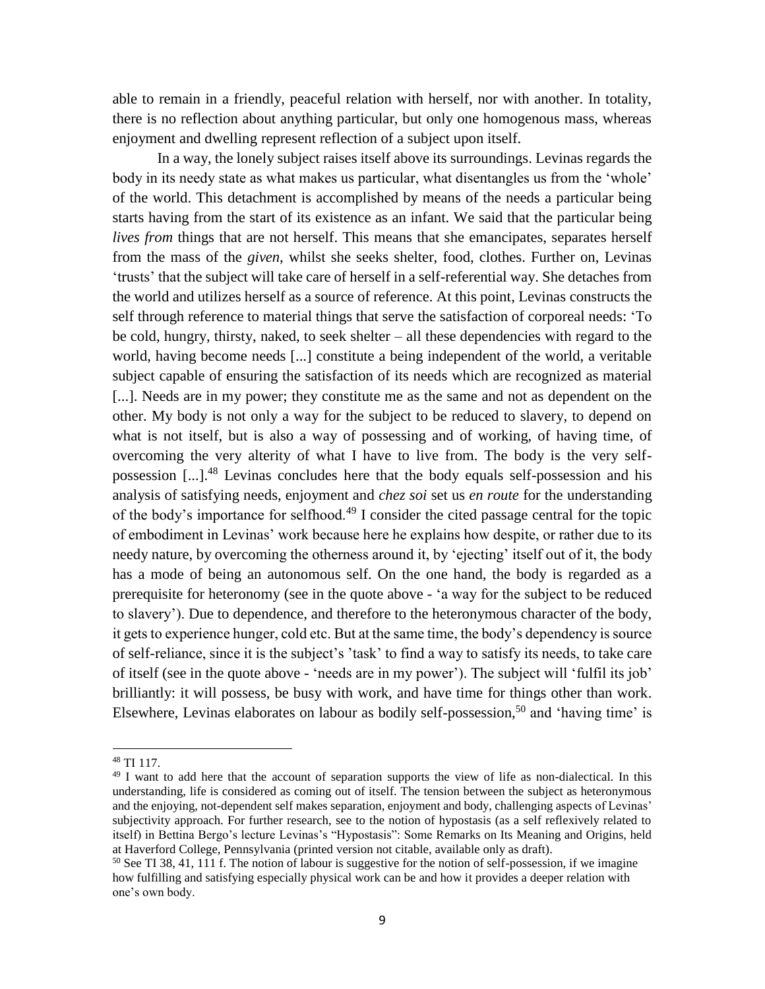able to remain in a friendly, peaceful relation with herself, nor with another. In totality, there is no reflection about anything particular, but only one homogenous mass, whereas enjoyment and dwelling represent reflection of a subject upon itself.

In a way, the lonely subject raises itself above its surroundings. Levinas regards the body in its needy state as what makes us particular, what disentangles us from the 'whole' of the world. This detachment is accomplished by means of the needs a particular being starts having from the start of its existence as an infant. We said that the particular being *lives from* things that are not herself. This means that she emancipates, separates herself from the mass of the *given*, whilst she seeks shelter, food, clothes. Further on, Levinas 'trusts' that the subject will take care of herself in a self-referential way. She detaches from the world and utilizes herself as a source of reference. At this point, Levinas constructs the self through reference to material things that serve the satisfaction of corporeal needs: 'To be cold, hungry, thirsty, naked, to seek shelter – all these dependencies with regard to the world, having become needs [...] constitute a being independent of the world, a veritable subject capable of ensuring the satisfaction of its needs which are recognized as material [...]. Needs are in my power; they constitute me as the same and not as dependent on the other. My body is not only a way for the subject to be reduced to slavery, to depend on what is not itself, but is also a way of possessing and of working, of having time, of overcoming the very alterity of what I have to live from. The body is the very selfpossession  $[...]^{48}$  Levinas concludes here that the body equals self-possession and his analysis of satisfying needs, enjoyment and *chez soi* set us *en route* for the understanding of the body's importance for selfhood.<sup>49</sup> I consider the cited passage central for the topic of embodiment in Levinas' work because here he explains how despite, or rather due to its needy nature, by overcoming the otherness around it, by 'ejecting' itself out of it, the body has a mode of being an autonomous self. On the one hand, the body is regarded as a prerequisite for heteronomy (see in the quote above - 'a way for the subject to be reduced to slavery'). Due to dependence, and therefore to the heteronymous character of the body, it gets to experience hunger, cold etc. But at the same time, the body's dependency is source of self-reliance, since it is the subject's 'task' to find a way to satisfy its needs, to take care of itself (see in the quote above - 'needs are in my power'). The subject will 'fulfil its job' brilliantly: it will possess, be busy with work, and have time for things other than work. Elsewhere, Levinas elaborates on labour as bodily self-possession,<sup>50</sup> and 'having time' is

<sup>48</sup> TI 117.

<sup>&</sup>lt;sup>49</sup> I want to add here that the account of separation supports the view of life as non-dialectical. In this understanding, life is considered as coming out of itself. The tension between the subject as heteronymous and the enjoying, not-dependent self makes separation, enjoyment and body, challenging aspects of Levinas' subjectivity approach. For further research, see to the notion of hypostasis (as a self reflexively related to itself) in Bettina Bergo's lecture Levinas's "Hypostasis": Some Remarks on Its Meaning and Origins, held at Haverford College, Pennsylvania (printed version not citable, available only as draft).

 $50$  See TI 38, 41, 111 f. The notion of labour is suggestive for the notion of self-possession, if we imagine how fulfilling and satisfying especially physical work can be and how it provides a deeper relation with one's own body.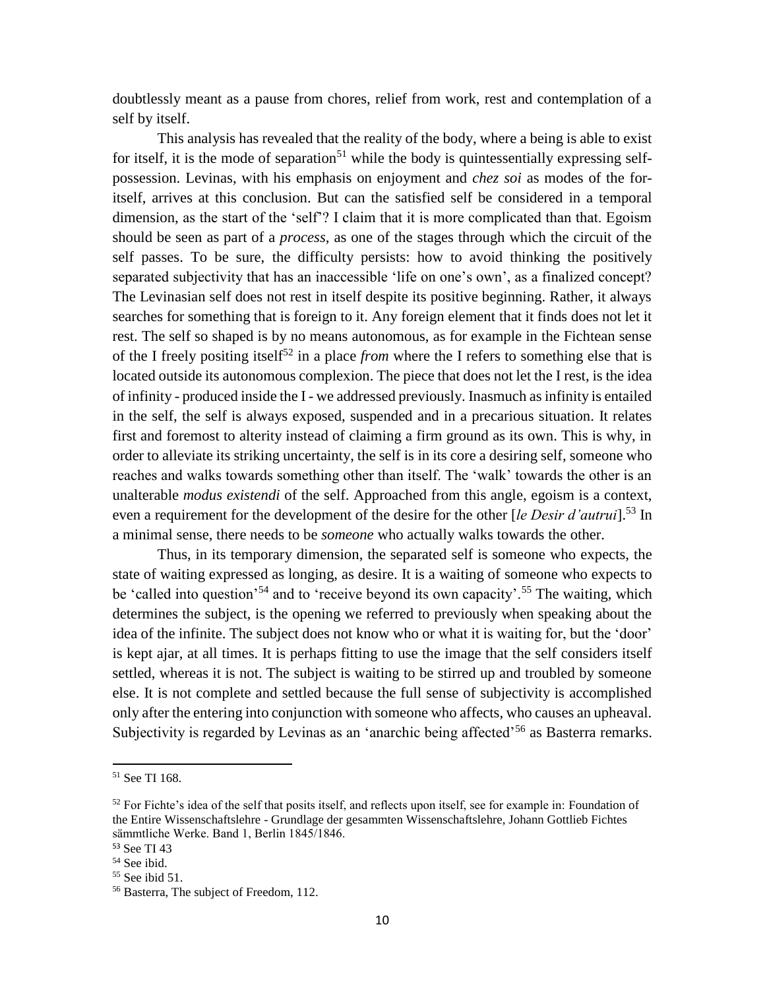doubtlessly meant as a pause from chores, relief from work, rest and contemplation of a self by itself.

This analysis has revealed that the reality of the body, where a being is able to exist for itself, it is the mode of separation<sup>51</sup> while the body is quintessentially expressing selfpossession. Levinas, with his emphasis on enjoyment and *chez soi* as modes of the foritself, arrives at this conclusion. But can the satisfied self be considered in a temporal dimension, as the start of the 'self'? I claim that it is more complicated than that. Egoism should be seen as part of a *process*, as one of the stages through which the circuit of the self passes. To be sure, the difficulty persists: how to avoid thinking the positively separated subjectivity that has an inaccessible 'life on one's own', as a finalized concept? The Levinasian self does not rest in itself despite its positive beginning. Rather, it always searches for something that is foreign to it. Any foreign element that it finds does not let it rest. The self so shaped is by no means autonomous, as for example in the Fichtean sense of the I freely positing itself<sup>52</sup> in a place *from* where the I refers to something else that is located outside its autonomous complexion. The piece that does not let the I rest, is the idea of infinity - produced inside the I - we addressed previously. Inasmuch as infinity is entailed in the self, the self is always exposed, suspended and in a precarious situation. It relates first and foremost to alterity instead of claiming a firm ground as its own. This is why, in order to alleviate its striking uncertainty, the self is in its core a desiring self, someone who reaches and walks towards something other than itself. The 'walk' towards the other is an unalterable *modus existendi* of the self. Approached from this angle, egoism is a context, even a requirement for the development of the desire for the other [*le Desir d'autrui*].<sup>53</sup> In a minimal sense, there needs to be *someone* who actually walks towards the other.

Thus, in its temporary dimension, the separated self is someone who expects, the state of waiting expressed as longing, as desire. It is a waiting of someone who expects to be 'called into question'<sup>54</sup> and to 'receive beyond its own capacity'.<sup>55</sup> The waiting, which determines the subject, is the opening we referred to previously when speaking about the idea of the infinite. The subject does not know who or what it is waiting for, but the 'door' is kept ajar, at all times. It is perhaps fitting to use the image that the self considers itself settled, whereas it is not. The subject is waiting to be stirred up and troubled by someone else. It is not complete and settled because the full sense of subjectivity is accomplished only after the entering into conjunction with someone who affects, who causes an upheaval. Subjectivity is regarded by Levinas as an 'anarchic being affected'<sup>56</sup> as Basterra remarks.

<sup>51</sup> See TI 168.

 $52$  For Fichte's idea of the self that posits itself, and reflects upon itself, see for example in: Foundation of the Entire Wissenschaftslehre - Grundlage der gesammten Wissenschaftslehre, Johann Gottlieb Fichtes sämmtliche Werke. Band 1, Berlin 1845/1846.

<sup>53</sup> See TI 43

<sup>54</sup> See ibid.

<sup>55</sup> See ibid 51.

<sup>56</sup> Basterra, The subject of Freedom, 112.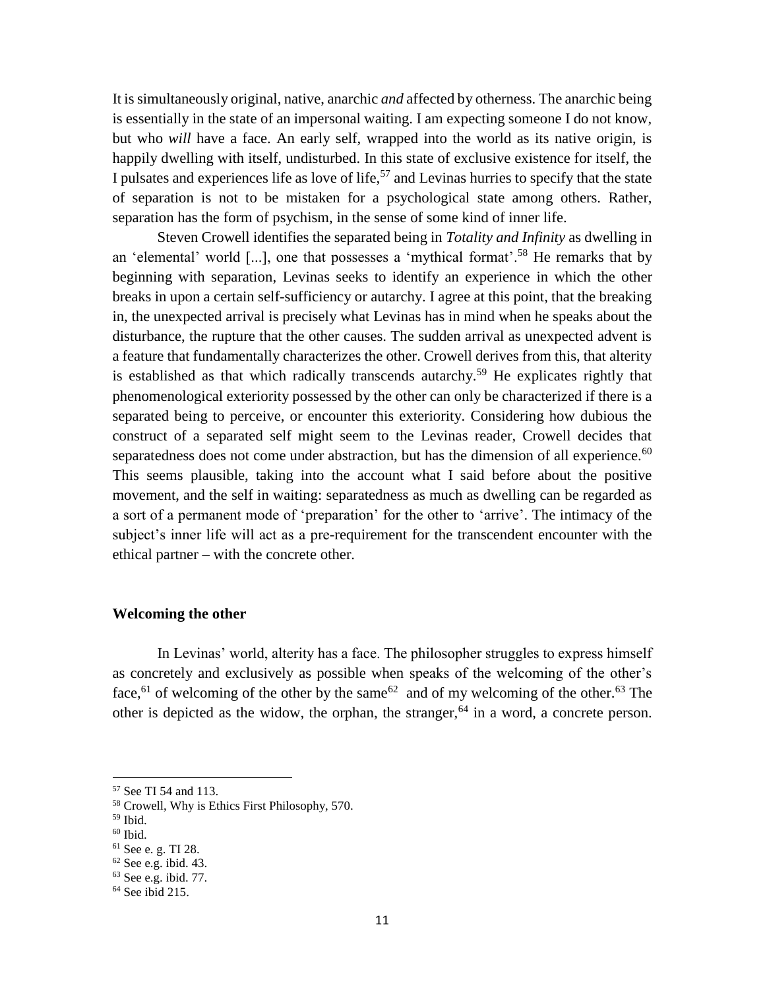It is simultaneously original, native, anarchic *and* affected by otherness. The anarchic being is essentially in the state of an impersonal waiting. I am expecting someone I do not know, but who *will* have a face. An early self, wrapped into the world as its native origin, is happily dwelling with itself, undisturbed. In this state of exclusive existence for itself, the I pulsates and experiences life as love of life,<sup>57</sup> and Levinas hurries to specify that the state of separation is not to be mistaken for a psychological state among others. Rather, separation has the form of psychism, in the sense of some kind of inner life.

Steven Crowell identifies the separated being in *Totality and Infinity* as dwelling in an 'elemental' world [...], one that possesses a 'mythical format'.<sup>58</sup> He remarks that by beginning with separation, Levinas seeks to identify an experience in which the other breaks in upon a certain self-sufficiency or autarchy. I agree at this point, that the breaking in, the unexpected arrival is precisely what Levinas has in mind when he speaks about the disturbance, the rupture that the other causes. The sudden arrival as unexpected advent is a feature that fundamentally characterizes the other. Crowell derives from this, that alterity is established as that which radically transcends autarchy.<sup>59</sup> He explicates rightly that phenomenological exteriority possessed by the other can only be characterized if there is a separated being to perceive, or encounter this exteriority. Considering how dubious the construct of a separated self might seem to the Levinas reader, Crowell decides that separatedness does not come under abstraction, but has the dimension of all experience.<sup>60</sup> This seems plausible, taking into the account what I said before about the positive movement, and the self in waiting: separatedness as much as dwelling can be regarded as a sort of a permanent mode of 'preparation' for the other to 'arrive'. The intimacy of the subject's inner life will act as a pre-requirement for the transcendent encounter with the ethical partner – with the concrete other.

#### **Welcoming the other**

In Levinas' world, alterity has a face. The philosopher struggles to express himself as concretely and exclusively as possible when speaks of the welcoming of the other's face, <sup>61</sup> of welcoming of the other by the same <sup>62</sup> and of my welcoming of the other.<sup>63</sup> The other is depicted as the widow, the orphan, the stranger,  $64$  in a word, a concrete person.

 $\overline{a}$ 

 $60$  Ibid.

<sup>57</sup> See TI 54 and 113.

<sup>58</sup> Crowell, Why is Ethics First Philosophy, 570.

 $59$  Ibid.

<sup>61</sup> See e. g. TI 28.

 $62$  See e.g. ibid. 43.

<sup>63</sup> See e.g. ibid. 77.

<sup>64</sup> See ibid 215.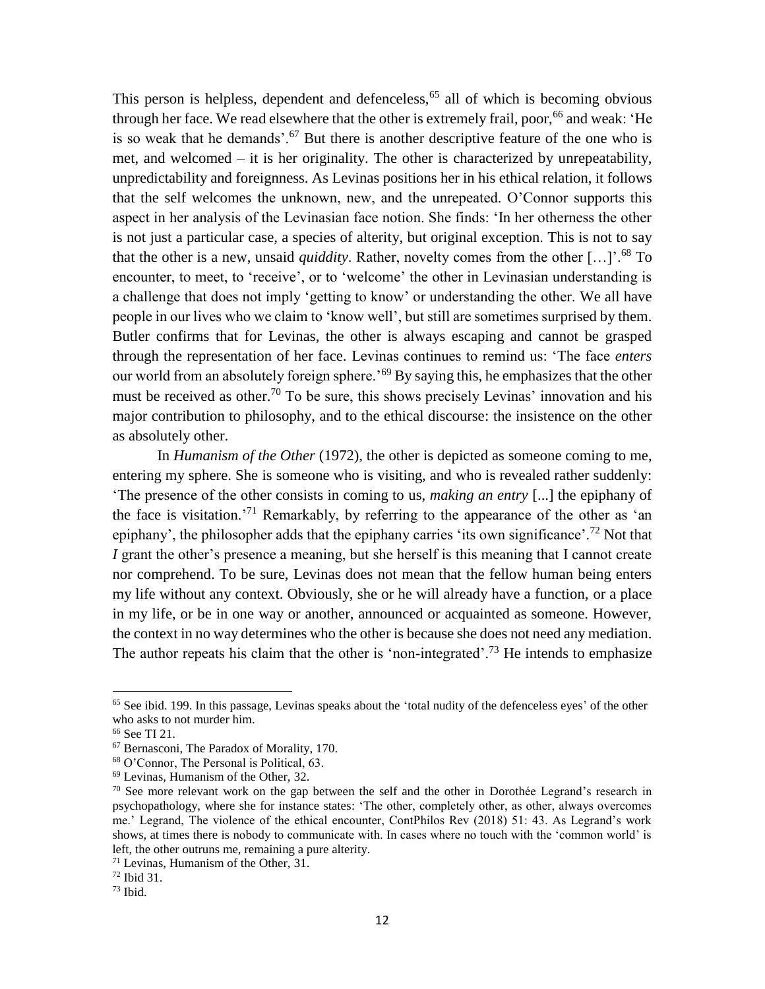This person is helpless, dependent and defenceless, $65$  all of which is becoming obvious through her face. We read elsewhere that the other is extremely frail, poor,  $66$  and weak: 'He is so weak that he demands'. $67$  But there is another descriptive feature of the one who is met, and welcomed – it is her originality. The other is characterized by unrepeatability, unpredictability and foreignness. As Levinas positions her in his ethical relation, it follows that the self welcomes the unknown, new, and the unrepeated. O'Connor supports this aspect in her analysis of the Levinasian face notion. She finds: 'In her otherness the other is not just a particular case, a species of alterity, but original exception. This is not to say that the other is a new, unsaid *quiddity*. Rather, novelty comes from the other […]'.<sup>68</sup> To encounter, to meet, to 'receive', or to 'welcome' the other in Levinasian understanding is a challenge that does not imply 'getting to know' or understanding the other. We all have people in our lives who we claim to 'know well', but still are sometimes surprised by them. Butler confirms that for Levinas, the other is always escaping and cannot be grasped through the representation of her face. Levinas continues to remind us: 'The face *enters* our world from an absolutely foreign sphere.<sup>'69</sup> By saying this, he emphasizes that the other must be received as other.<sup>70</sup> To be sure, this shows precisely Levinas' innovation and his major contribution to philosophy, and to the ethical discourse: the insistence on the other as absolutely other.

In *Humanism of the Other* (1972), the other is depicted as someone coming to me, entering my sphere. She is someone who is visiting, and who is revealed rather suddenly: 'The presence of the other consists in coming to us, *making an entry* [...] the epiphany of the face is visitation.'<sup>71</sup> Remarkably, by referring to the appearance of the other as 'an epiphany', the philosopher adds that the epiphany carries 'its own significance'.<sup>72</sup> Not that *I* grant the other's presence a meaning, but she herself is this meaning that I cannot create nor comprehend. To be sure, Levinas does not mean that the fellow human being enters my life without any context. Obviously, she or he will already have a function, or a place in my life, or be in one way or another, announced or acquainted as someone. However, the context in no way determines who the other is because she does not need any mediation. The author repeats his claim that the other is 'non-integrated'.<sup>73</sup> He intends to emphasize

<sup>65</sup> See ibid. 199. In this passage, Levinas speaks about the 'total nudity of the defenceless eyes' of the other who asks to not murder him.

<sup>66</sup> See TI 21.

<sup>67</sup> Bernasconi, The Paradox of Morality, 170.

<sup>68</sup> O'Connor, The Personal is Political, 63.

<sup>69</sup> Levinas, Humanism of the Other, 32.

 $70$  See more relevant work on the gap between the self and the other in Dorothée Legrand's research in psychopathology, where she for instance states: 'The other, completely other, as other, always overcomes me.' Legrand, The violence of the ethical encounter, ContPhilos Rev (2018) 51: 43. As Legrand's work shows, at times there is nobody to communicate with. In cases where no touch with the 'common world' is left, the other outruns me, remaining a pure alterity.

<sup>71</sup> Levinas, Humanism of the Other, 31.

<sup>72</sup> Ibid 31.

 $73$  Ibid.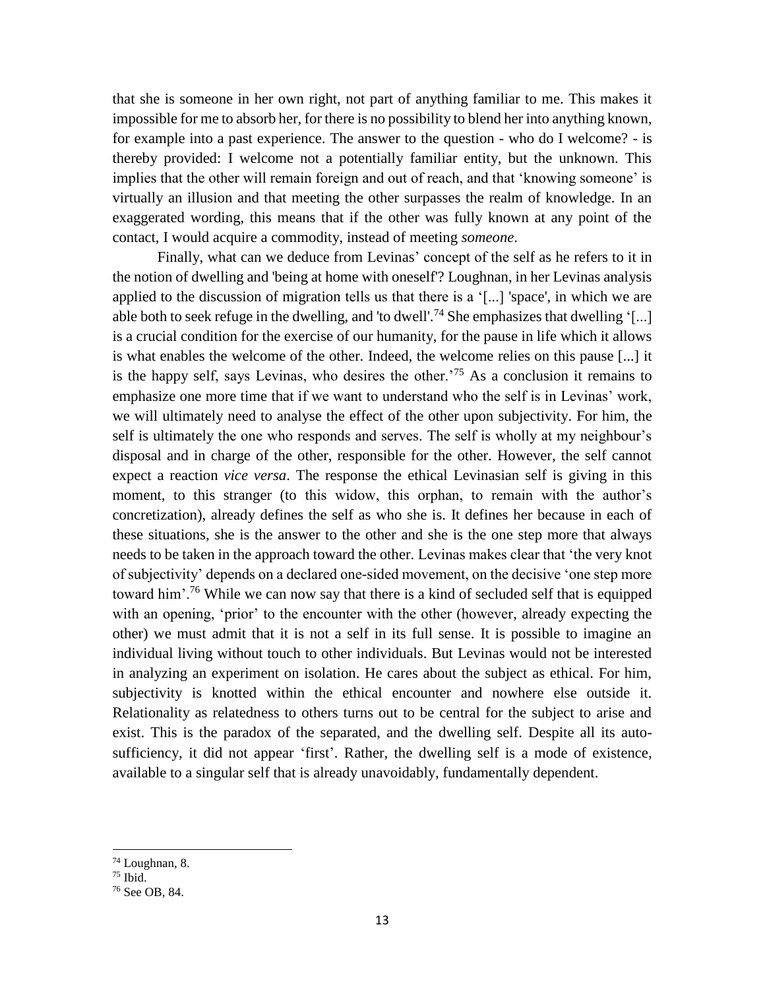that she is someone in her own right, not part of anything familiar to me. This makes it impossible for me to absorb her, for there is no possibility to blend her into anything known, for example into a past experience. The answer to the question - who do I welcome? - is thereby provided: I welcome not a potentially familiar entity, but the unknown. This implies that the other will remain foreign and out of reach, and that 'knowing someone' is virtually an illusion and that meeting the other surpasses the realm of knowledge. In an exaggerated wording, this means that if the other was fully known at any point of the contact, I would acquire a commodity, instead of meeting *someone*.

Finally, what can we deduce from Levinas' concept of the self as he refers to it in the notion of dwelling and 'being at home with oneself'? Loughnan, in her Levinas analysis applied to the discussion of migration tells us that there is a '[...] 'space', in which we are able both to seek refuge in the dwelling, and 'to dwell'.<sup>74</sup> She emphasizes that dwelling '[...] is a crucial condition for the exercise of our humanity, for the pause in life which it allows is what enables the welcome of the other. Indeed, the welcome relies on this pause [...] it is the happy self, says Levinas, who desires the other.<sup>75</sup> As a conclusion it remains to emphasize one more time that if we want to understand who the self is in Levinas' work, we will ultimately need to analyse the effect of the other upon subjectivity. For him, the self is ultimately the one who responds and serves. The self is wholly at my neighbour's disposal and in charge of the other, responsible for the other. However, the self cannot expect a reaction *vice versa*. The response the ethical Levinasian self is giving in this moment, to this stranger (to this widow, this orphan, to remain with the author's concretization), already defines the self as who she is. It defines her because in each of these situations, she is the answer to the other and she is the one step more that always needs to be taken in the approach toward the other. Levinas makes clear that 'the very knot of subjectivity' depends on a declared one-sided movement, on the decisive 'one step more toward him'.<sup>76</sup> While we can now say that there is a kind of secluded self that is equipped with an opening, 'prior' to the encounter with the other (however, already expecting the other) we must admit that it is not a self in its full sense. It is possible to imagine an individual living without touch to other individuals. But Levinas would not be interested in analyzing an experiment on isolation. He cares about the subject as ethical. For him, subjectivity is knotted within the ethical encounter and nowhere else outside it. Relationality as relatedness to others turns out to be central for the subject to arise and exist. This is the paradox of the separated, and the dwelling self. Despite all its autosufficiency, it did not appear 'first'. Rather, the dwelling self is a mode of existence, available to a singular self that is already unavoidably, fundamentally dependent.

<sup>74</sup> Loughnan, 8.  $75$  Ibid.

<sup>76</sup> See OB, 84.